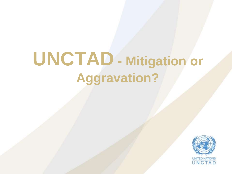# **UNCTAD - Mitigation or Aggravation?**

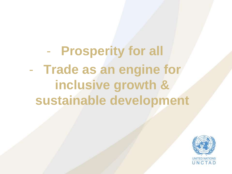- **Prosperity for all Trade as an engine for inclusive growth & sustainable development**

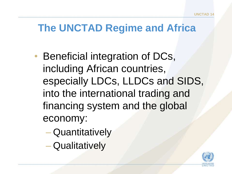### **The UNCTAD Regime and Africa**

- Beneficial integration of DCs, including African countries, especially LDCs, LLDCs and SIDS, into the international trading and financing system and the global economy:
	- Quantitatively
	- Qualitatively

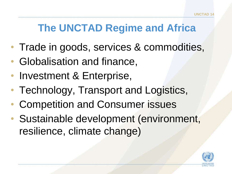### **The UNCTAD Regime and Africa**

- Trade in goods, services & commodities,
- Globalisation and finance,
- Investment & Enterprise,
- Technology, Transport and Logistics,
- Competition and Consumer issues
- Sustainable development (environment, resilience, climate change)

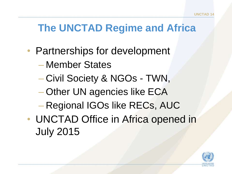### **The UNCTAD Regime and Africa**

- Partnerships for development
	- Member States
	- Civil Society & NGOs TWN,
	- Other UN agencies like ECA
	- Regional IGOs like RECs, AUC
- UNCTAD Office in Africa opened in July 2015

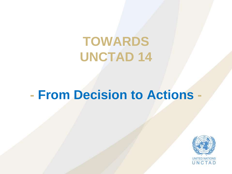# **TOWARDS UNCTAD 14**

### **- From Decision to Actions -**

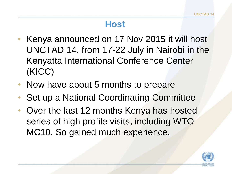#### **Host**

- Kenya announced on 17 Nov 2015 it will host UNCTAD 14, from 17-22 July in Nairobi in the Kenyatta International Conference Center (KICC)
- Now have about 5 months to prepare
- Set up a National Coordinating Committee
- Over the last 12 months Kenya has hosted series of high profile visits, including WTO MC10. So gained much experience.

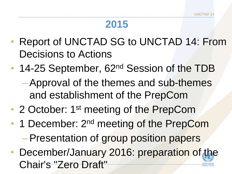### **2015**

- Report of UNCTAD SG to UNCTAD 14: From Decisions to Actions
- 14-25 September, 62<sup>nd</sup> Session of the TDB –Approval of the themes and sub-themes and establishment of the PrepCom
- 2 October: 1<sup>st</sup> meeting of the PrepCom
- 1 December: 2<sup>nd</sup> meeting of the PrepCom –Presentation of group position papers
- December/January 2016: preparation of the Chair's "Zero Draft"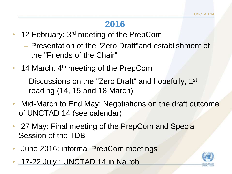#### **2016**

- 12 February: 3<sup>rd</sup> meeting of the PrepCom
	- Presentation of the "Zero Draft"and establishment of the "Friends of the Chair"
- 14 March: 4<sup>th</sup> meeting of the PrepCom
	- Discussions on the "Zero Draft" and hopefully, 1st reading (14, 15 and 18 March)
- Mid-March to End May: Negotiations on the draft outcome of UNCTAD 14 (see calendar)
- 27 May: Final meeting of the PrepCom and Special Session of the TDB
- June 2016: informal PrepCom meetings
- 17-22 July : UNCTAD 14 in Nairobi

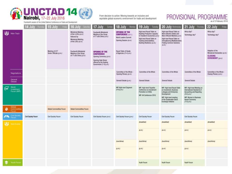

From decision to action: Moving towards an inclusive and equitable global economic environment for trade and development

#### PROVISIONAL PROGRAMME

as of 3 February 2016

|     |                                          | 14 July Thumby      | 15 July<br>Fod                            | 16 July<br>Saturd                                                                                                    | 17 July<br>Sunday                                                                                                                               | 18 July<br>Monta                                                                              | 19 July<br>Tuesday                                                                                                                                                                 | 20 July Wednesday                                                                                                                                                                                    | 21 July<br>Thursday                                                                                                                                               | 22 July<br>Friday                                                                      |
|-----|------------------------------------------|---------------------|-------------------------------------------|----------------------------------------------------------------------------------------------------------------------|-------------------------------------------------------------------------------------------------------------------------------------------------|-----------------------------------------------------------------------------------------------|------------------------------------------------------------------------------------------------------------------------------------------------------------------------------------|------------------------------------------------------------------------------------------------------------------------------------------------------------------------------------------------------|-------------------------------------------------------------------------------------------------------------------------------------------------------------------|----------------------------------------------------------------------------------------|
|     | <b>in</b> Main Track                     |                     |                                           | <b>Ministerial Meeting</b><br>of the LLDCs (a.m.)<br>followed by<br><b>Ministerial Meeting</b><br>of the LDCs (a.m.) | Fourteenth Ministerial<br>Meeting of the Group<br>of 77 and China (a.m.)                                                                        | <b>OPENING OF THE</b><br>CONFERENCE (con 1)<br>World Leaders Summit<br>Opening Session (a.m.) | High-level Round Table on<br>Building Productive Capacity<br>to Transform Economies (a.m.)<br>High-level Round Table on<br>Tackling Vulnerabilities,<br>Building Resilience (a.m.) | High-level Round Table on<br>More Effective States and<br>More Efficient Markets (a.m.)<br>High-level Round Table on<br>Strengthening Multilaterakern,<br><b>Finding Common Solutions</b><br>(if.m.) | Africa day?<br>Technology day?                                                                                                                                    | Africa day?<br>Technology day?                                                         |
|     |                                          |                     | Meeting of G77<br>Senior Officials (p.m.) | Fourteenth Ministerial<br>Meeting of the Group<br>of 77 and China (p.m.)                                             | <b>OPENING OF THE</b><br><b>CONFERENCE</b><br>Opening Ceremony (p.m.)<br>Opening Gala Dinner<br>offered by the Hosting<br>Government (7-9 p.m.) | Round Table of Heads<br>of Agencies $(2-4 \rho m)$                                            |                                                                                                                                                                                    |                                                                                                                                                                                                      |                                                                                                                                                                   | Adoption of the<br>Ministerial Declaration (p.m.)<br><b>CLOSING</b><br>CEREMONY (p.m.) |
|     | Negotiations                             |                     |                                           |                                                                                                                      |                                                                                                                                                 | Committee of the Whole -<br>Opening Plenary (p.m.)                                            | Committee of the Whole                                                                                                                                                             | Committee of the Whole                                                                                                                                                                               | Committee of the Whole                                                                                                                                            | Committee of the Whole -<br>Closing Plenary (a.m.)                                     |
|     | General<br>Debate                        |                     |                                           |                                                                                                                      |                                                                                                                                                 | General Debate (p.m.).                                                                        | General Debate                                                                                                                                                                     | <b>General Debate</b>                                                                                                                                                                                | General Debate                                                                                                                                                    |                                                                                        |
| wur | World<br><b>Investment</b><br>Forum (MF) |                     |                                           |                                                                                                                      |                                                                                                                                                 | WIF High-level Segment<br>$(4 - 6 n. m)$                                                      | WF. High-level Tripartite.<br>Conference on Investment<br>Promotion on SDGs<br>WF: IA Conterence 2016                                                                              | WF: High-level Round Table<br>on Investment, Business<br><b>Linkages and Enterprise</b><br>Development<br>WIF: High-level meeting<br>of the Sustainable Stock<br>Exchange initiative                 | WIF: High-level Meeting on<br>International Standards of<br>Accounting and Reporting<br>$(3-6.0.01)$<br>WIF: Women in Business<br>Award Ceremony<br>$(7.9 \mu m)$ |                                                                                        |
|     | Giobal<br>Commodities<br>Forum           |                     | Global Commodities Forum                  | Global Commodities Forum                                                                                             |                                                                                                                                                 |                                                                                               |                                                                                                                                                                                    |                                                                                                                                                                                                      |                                                                                                                                                                   |                                                                                        |
|     | <b>Civi Society</b>                      | Civil Society Forum | <b>Civil Society Forum</b>                | <b>Civil Society Forum</b>                                                                                           | Civil Society Forum (a.m.)                                                                                                                      | Civil Society Forum (p.m.)                                                                    | <b>Civil Society Forum</b>                                                                                                                                                         | <b>Civit Society Forum</b>                                                                                                                                                                           | Civil Society Forum                                                                                                                                               |                                                                                        |
|     | <b>Li</b> suiten                         |                     |                                           |                                                                                                                      |                                                                                                                                                 |                                                                                               | (breakfast)                                                                                                                                                                        | (breakfast)                                                                                                                                                                                          | (Dreak/ast)                                                                                                                                                       | (breakfast)                                                                            |
|     |                                          |                     |                                           |                                                                                                                      |                                                                                                                                                 |                                                                                               | (0.01)                                                                                                                                                                             | (p.m.)                                                                                                                                                                                               | (组)                                                                                                                                                               | (1.01)                                                                                 |
|     |                                          |                     |                                           |                                                                                                                      |                                                                                                                                                 | fluvchtime)                                                                                   | <b>Runchtime</b> )                                                                                                                                                                 | (lianchtime)                                                                                                                                                                                         | (lux/dime)                                                                                                                                                        | (luochtime)                                                                            |
|     |                                          |                     |                                           |                                                                                                                      |                                                                                                                                                 | 69.MJ                                                                                         | (0.01)                                                                                                                                                                             | (0.01)                                                                                                                                                                                               | (0.10.7                                                                                                                                                           |                                                                                        |
|     | Youth Forum                              |                     |                                           |                                                                                                                      |                                                                                                                                                 |                                                                                               | Youth Forum                                                                                                                                                                        | Youth Forum                                                                                                                                                                                          | <b>Youth Forum</b>                                                                                                                                                |                                                                                        |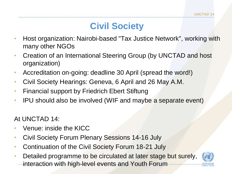#### **Civil Society**

- Host organization: Nairobi-based "Tax Justice Network", working with many other NGOs
- Creation of an International Steering Group (by UNCTAD and host organization)
- Accreditation on-going: deadline 30 April (spread the word!)
- Civil Society Hearings: Geneva, 6 April and 26 May A.M.
- Financial support by Friedrich Ebert Stiftung
- IPU should also be involved (WIF and maybe a separate event)

At UNCTAD 14:

- Venue: inside the KICC
- Civil Society Forum Plenary Sessions 14-16 July
- Continuation of the Civil Society Forum 18-21 July
- Detailed programme to be circulated at later stage but surely, interaction with high-level events and Youth Forum

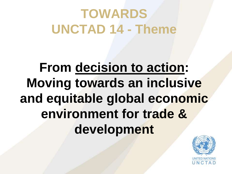# **TOWARDS UNCTAD 14 - Theme**

# **From decision to action: Moving towards an inclusive and equitable global economic environment for trade & development**

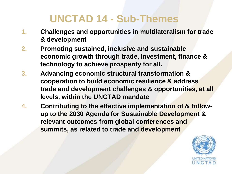### **UNCTAD 14 - Sub-Themes**

- **1. Challenges and opportunities in multilateralism for trade & development**
- **2. Promoting sustained, inclusive and sustainable economic growth through trade, investment, finance & technology to achieve prosperity for all.**
- **3. Advancing economic structural transformation & cooperation to build economic resilience & address trade and development challenges & opportunities, at all levels, within the UNCTAD mandate**
- **4. Contributing to the effective implementation of & followup to the 2030 Agenda for Sustainable Development & relevant outcomes from global conferences and summits, as related to trade and development**

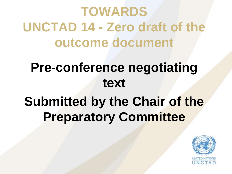# **TOWARDS UNCTAD 14 - Zero draft of the outcome document**

## **Pre-conference negotiating text**

# **Submitted by the Chair of the Preparatory Committee**